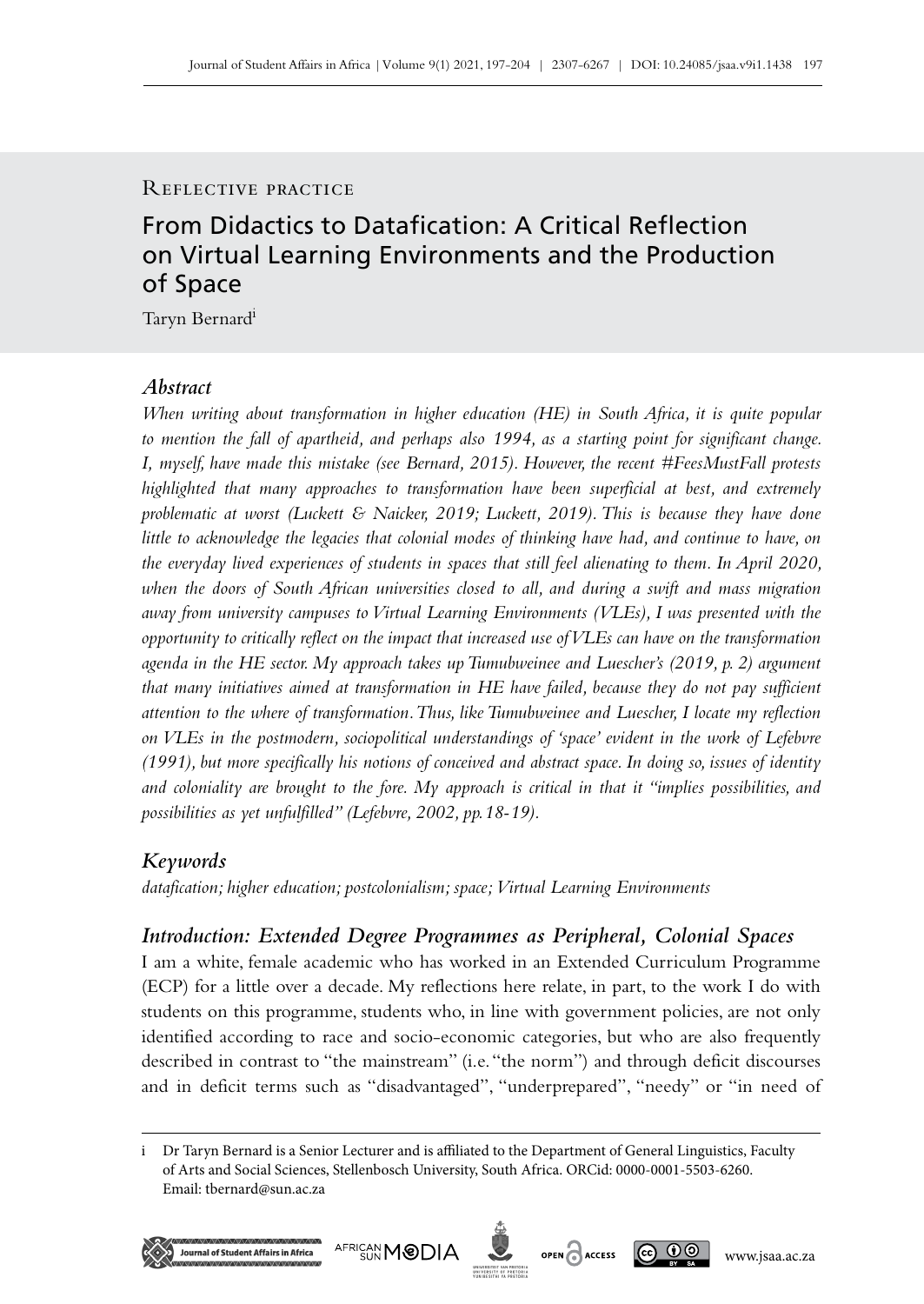#### Reflective practice

# From Didactics to Datafication: A Critical Reflection on Virtual Learning Environments and the Production of Space

Taryn Bernardi

# *Abstract*

*When writing about transformation in higher education (HE) in South Africa, it is quite popular to mention the fall of apartheid, and perhaps also 1994, as a starting point for significant change. I, myself, have made this mistake (see Bernard, 2015). However, the recent #FeesMustFall protests highlighted that many approaches to transformation have been superficial at best, and extremely problematic at worst (Luckett & Naicker, 2019; Luckett, 2019). This is because they have done little to acknowledge the legacies that colonial modes of thinking have had, and continue to have, on the everyday lived experiences of students in spaces that still feel alienating to them. In April 2020, when the doors of South African universities closed to all, and during a swift and mass migration away from university campuses to Virtual Learning Environments (VLEs), I was presented with the opportunity to critically reflect on the impact that increased use of VLEs can have on the transformation agenda in the HE sector. My approach takes up Tumubweinee and Luescher's (2019, p. 2) argument that many initiatives aimed at transformation in HE have failed, because they do not pay sufficient attention to the where of transformation. Thus, like Tumubweinee and Luescher, I locate my reflection on VLEs in the postmodern, sociopolitical understandings of 'space' evident in the work of Lefebvre (1991), but more specifically his notions of conceived and abstract space. In doing so, issues of identity and coloniality are brought to the fore. My approach is critical in that it "implies possibilities, and possibilities as yet unfulfilled" (Lefebvre, 2002, pp.18‑19).*

# *Keywords*

*datafication; higher education; postcolonialism; space; Virtual Learning Environments*

# *Introduction: Extended Degree Programmes as Peripheral, Colonial Spaces*

I am a white, female academic who has worked in an Extended Curriculum Programme (ECP) for a little over a decade. My reflections here relate, in part, to the work I do with students on this programme, students who, in line with government policies, are not only identified according to race and socio-economic categories, but who are also frequently described in contrast to "the mainstream" (i.e. "the norm") and through deficit discourses and in deficit terms such as "disadvantaged", "underprepared", "needy" or "in need of

i Dr Taryn Bernard is a Senior Lecturer and is affiliated to the Department of General Linguistics, Faculty of Arts and Social Sciences, Stellenbosch University, South Africa. ORCid: 0000-0001-5503-6260. Email: [tbernard@sun.ac.za](mailto:tbernard%40sun.ac.za?subject=)







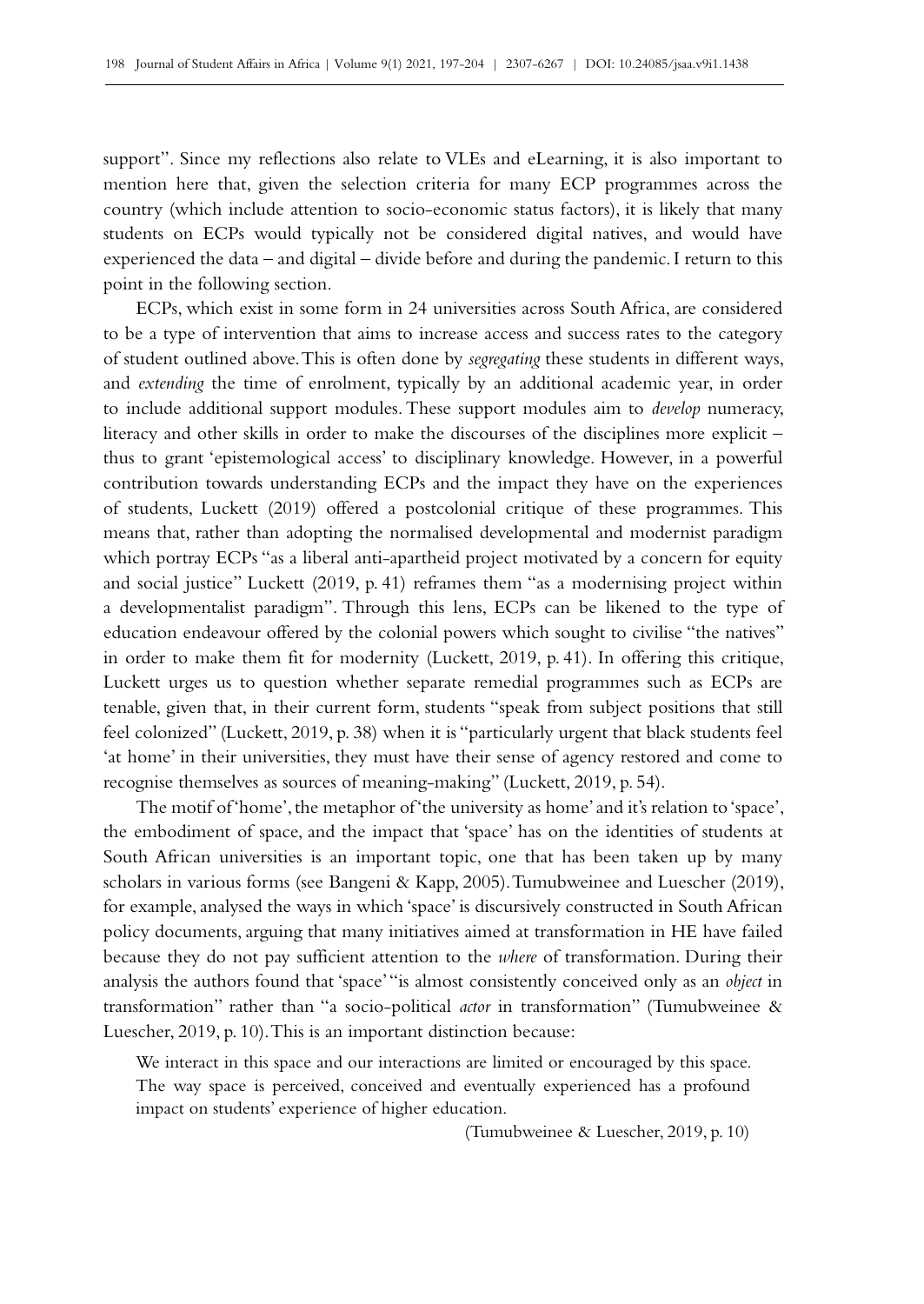support". Since my reflections also relate to VLEs and eLearning, it is also important to mention here that, given the selection criteria for many ECP programmes across the country (which include attention to socio-economic status factors), it is likely that many students on ECPs would typically not be considered digital natives, and would have experienced the data – and digital – divide before and during the pandemic. I return to this point in the following section.

ECPs, which exist in some form in 24 universities across South Africa, are considered to be a type of intervention that aims to increase access and success rates to the category of student outlined above. This is often done by *segregating* these students in different ways, and *extending* the time of enrolment, typically by an additional academic year, in order to include additional support modules. These support modules aim to *develop* numeracy, literacy and other skills in order to make the discourses of the disciplines more explicit – thus to grant 'epistemological access' to disciplinary knowledge. However, in a powerful contribution towards understanding ECPs and the impact they have on the experiences of students, Luckett (2019) offered a postcolonial critique of these programmes. This means that, rather than adopting the normalised developmental and modernist paradigm which portray ECPs "as a liberal anti-apartheid project motivated by a concern for equity and social justice" Luckett (2019, p. 41) reframes them "as a modernising project within a developmentalist paradigm". Through this lens, ECPs can be likened to the type of education endeavour offered by the colonial powers which sought to civilise "the natives" in order to make them fit for modernity (Luckett, 2019, p. 41). In offering this critique, Luckett urges us to question whether separate remedial programmes such as ECPs are tenable, given that, in their current form, students "speak from subject positions that still feel colonized" (Luckett, 2019, p. 38) when it is "particularly urgent that black students feel 'at home' in their universities, they must have their sense of agency restored and come to recognise themselves as sources of meaning-making" (Luckett, 2019, p. 54).

The motif of 'home', the metaphor of 'the university as home' and it's relation to 'space', the embodiment of space, and the impact that 'space' has on the identities of students at South African universities is an important topic, one that has been taken up by many scholars in various forms (see Bangeni & Kapp, 2005). Tumubweinee and Luescher (2019), for example, analysed the ways in which 'space' is discursively constructed in South African policy documents, arguing that many initiatives aimed at transformation in HE have failed because they do not pay sufficient attention to the *where* of transformation. During their analysis the authors found that 'space' "is almost consistently conceived only as an *object* in transformation" rather than "a socio-political *actor* in transformation" (Tumubweinee & Luescher, 2019, p. 10). This is an important distinction because:

We interact in this space and our interactions are limited or encouraged by this space. The way space is perceived, conceived and eventually experienced has a profound impact on students' experience of higher education.

(Tumubweinee & Luescher, 2019, p. 10)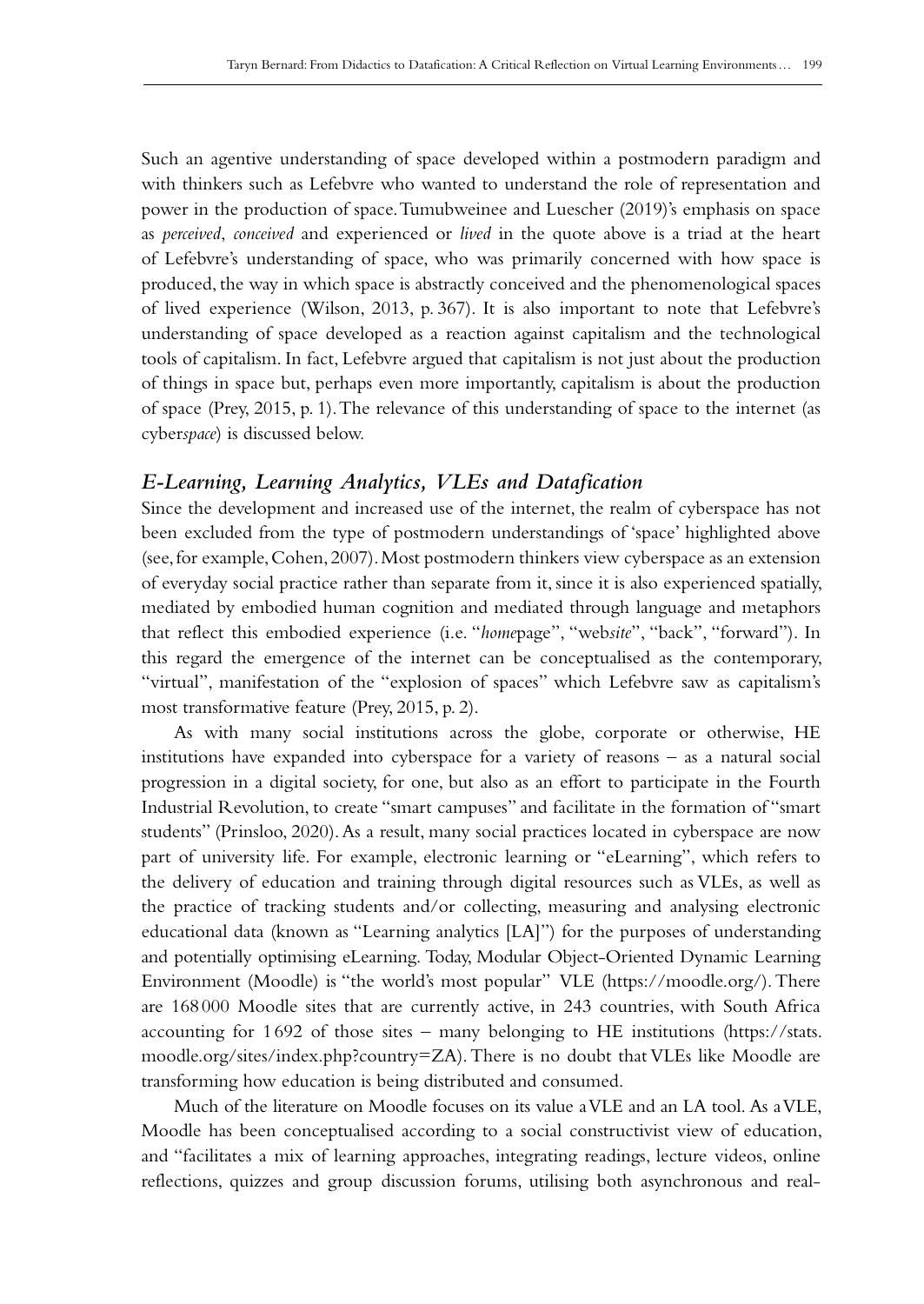Such an agentive understanding of space developed within a postmodern paradigm and with thinkers such as Lefebvre who wanted to understand the role of representation and power in the production of space. Tumubweinee and Luescher (2019)'s emphasis on space as *perceived*, *conceived* and experienced or *lived* in the quote above is a triad at the heart of Lefebvre's understanding of space, who was primarily concerned with how space is produced, the way in which space is abstractly conceived and the phenomenological spaces of lived experience (Wilson, 2013, p. 367). It is also important to note that Lefebvre's understanding of space developed as a reaction against capitalism and the technological tools of capitalism. In fact, Lefebvre argued that capitalism is not just about the production of things in space but, perhaps even more importantly, capitalism is about the production of space (Prey, 2015, p. 1). The relevance of this understanding of space to the internet (as cyber*space*) is discussed below.

## *E-Learning, Learning Analytics, VLEs and Datafication*

Since the development and increased use of the internet, the realm of cyberspace has not been excluded from the type of postmodern understandings of 'space' highlighted above (see, for example, Cohen, 2007). Most postmodern thinkers view cyberspace as an extension of everyday social practice rather than separate from it, since it is also experienced spatially, mediated by embodied human cognition and mediated through language and metaphors that reflect this embodied experience (i.e. "*home*page", "web*site*", "back", "forward"). In this regard the emergence of the internet can be conceptualised as the contemporary, "virtual", manifestation of the "explosion of spaces" which Lefebvre saw as capitalism's most transformative feature (Prey, 2015, p. 2).

As with many social institutions across the globe, corporate or otherwise, HE institutions have expanded into cyberspace for a variety of reasons – as a natural social progression in a digital society, for one, but also as an effort to participate in the Fourth Industrial Revolution, to create "smart campuses" and facilitate in the formation of "smart students" (Prinsloo, 2020). As a result, many social practices located in cyberspace are now part of university life. For example, electronic learning or "eLearning", which refers to the delivery of education and training through digital resources such as VLEs, as well as the practice of tracking students and/or collecting, measuring and analysing electronic educational data (known as "Learning analytics [LA]") for the purposes of understanding and potentially optimising eLearning. Today, Modular Object-Oriented Dynamic Learning Environment (Moodle) is "the world's most popular" VLE (<https://moodle.org/>). There are 168000 Moodle sites that are currently active, in 243 countries, with South Africa accounting for 1692 of those sites – many belonging to HE institutions [\(https://stats.](https://stats.moodle.org/sites/index.php?country=ZA) [moodle.org/sites/index.php?country=ZA](https://stats.moodle.org/sites/index.php?country=ZA)). There is no doubt that VLEs like Moodle are transforming how education is being distributed and consumed.

Much of the literature on Moodle focuses on its value a VLE and an LA tool. As a VLE, Moodle has been conceptualised according to a social constructivist view of education, and "facilitates a mix of learning approaches, integrating readings, lecture videos, online reflections, quizzes and group discussion forums, utilising both asynchronous and real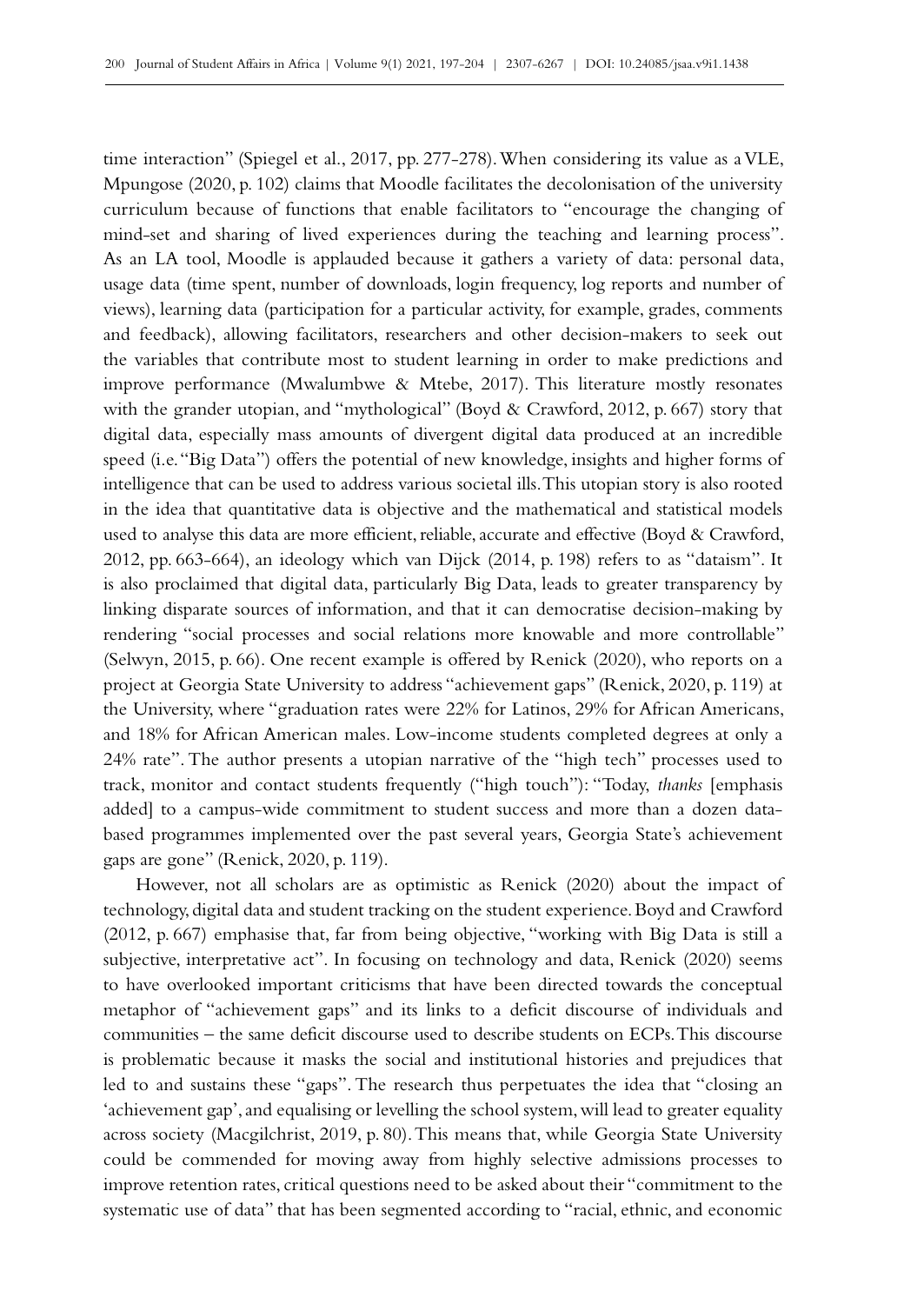time interaction" (Spiegel et al., 2017, pp. 277-278). When considering its value as a VLE, Mpungose (2020, p. 102) claims that Moodle facilitates the decolonisation of the university curriculum because of functions that enable facilitators to "encourage the changing of mind-set and sharing of lived experiences during the teaching and learning process". As an LA tool, Moodle is applauded because it gathers a variety of data: personal data, usage data (time spent, number of downloads, login frequency, log reports and number of views), learning data (participation for a particular activity, for example, grades, comments and feedback), allowing facilitators, researchers and other decision-makers to seek out the variables that contribute most to student learning in order to make predictions and improve performance (Mwalumbwe & Mtebe, 2017). This literature mostly resonates with the grander utopian, and "mythological" (Boyd & Crawford, 2012, p. 667) story that digital data, especially mass amounts of divergent digital data produced at an incredible speed (i.e. "Big Data") offers the potential of new knowledge, insights and higher forms of intelligence that can be used to address various societal ills. This utopian story is also rooted in the idea that quantitative data is objective and the mathematical and statistical models used to analyse this data are more efficient, reliable, accurate and effective (Boyd & Crawford, 2012, pp. 663-664), an ideology which van Dijck (2014, p. 198) refers to as "dataism". It is also proclaimed that digital data, particularly Big Data, leads to greater transparency by linking disparate sources of information, and that it can democratise decision-making by rendering "social processes and social relations more knowable and more controllable" (Selwyn, 2015, p. 66). One recent example is offered by Renick (2020), who reports on a project at Georgia State University to address "achievement gaps" (Renick, 2020, p. 119) at the University, where "graduation rates were 22% for Latinos, 29% for African Americans, and 18% for African American males. Low-income students completed degrees at only a 24% rate". The author presents a utopian narrative of the "high tech" processes used to track, monitor and contact students frequently ("high touch"): "Today, *thanks* [emphasis added] to a campus-wide commitment to student success and more than a dozen databased programmes implemented over the past several years, Georgia State's achievement gaps are gone" (Renick, 2020, p. 119).

However, not all scholars are as optimistic as Renick (2020) about the impact of technology, digital data and student tracking on the student experience. Boyd and Crawford (2012, p. 667) emphasise that, far from being objective, "working with Big Data is still a subjective, interpretative act". In focusing on technology and data, Renick (2020) seems to have overlooked important criticisms that have been directed towards the conceptual metaphor of "achievement gaps" and its links to a deficit discourse of individuals and communities – the same deficit discourse used to describe students on ECPs. This discourse is problematic because it masks the social and institutional histories and prejudices that led to and sustains these "gaps". The research thus perpetuates the idea that "closing an 'achievement gap', and equalising or levelling the school system, will lead to greater equality across society (Macgilchrist, 2019, p. 80). This means that, while Georgia State University could be commended for moving away from highly selective admissions processes to improve retention rates, critical questions need to be asked about their "commitment to the systematic use of data" that has been segmented according to "racial, ethnic, and economic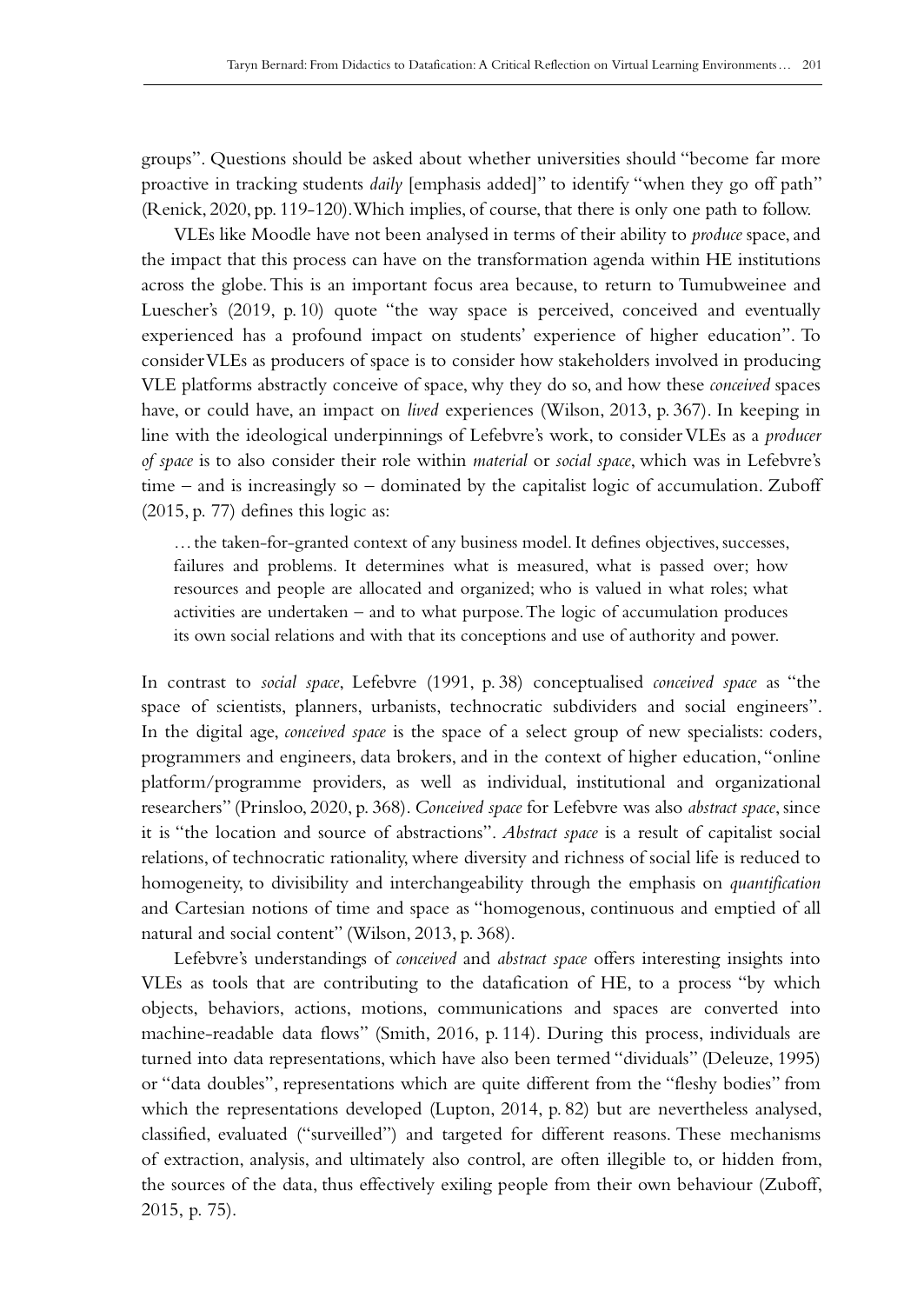groups". Questions should be asked about whether universities should "become far more proactive in tracking students *daily* [emphasis added]" to identify "when they go off path" (Renick, 2020, pp. 119-120). Which implies, of course, that there is only one path to follow.

VLEs like Moodle have not been analysed in terms of their ability to *produce* space, and the impact that this process can have on the transformation agenda within HE institutions across the globe. This is an important focus area because, to return to Tumubweinee and Luescher's (2019, p. 10) quote "the way space is perceived, conceived and eventually experienced has a profound impact on students' experience of higher education". To consider VLEs as producers of space is to consider how stakeholders involved in producing VLE platforms abstractly conceive of space, why they do so, and how these *conceived* spaces have, or could have, an impact on *lived* experiences (Wilson, 2013, p. 367). In keeping in line with the ideological underpinnings of Lefebvre's work, to consider VLEs as a *producer of space* is to also consider their role within *material* or *social space*, which was in Lefebvre's time – and is increasingly so – dominated by the capitalist logic of accumulation. Zuboff (2015, p. 77) defines this logic as:

…the taken-for-granted context of any business model. It defines objectives, successes, failures and problems. It determines what is measured, what is passed over; how resources and people are allocated and organized; who is valued in what roles; what activities are undertaken – and to what purpose. The logic of accumulation produces its own social relations and with that its conceptions and use of authority and power.

In contrast to *social space*, Lefebvre (1991, p. 38) conceptualised *conceived space* as "the space of scientists, planners, urbanists, technocratic subdividers and social engineers". In the digital age, *conceived space* is the space of a select group of new specialists: coders, programmers and engineers, data brokers, and in the context of higher education, "online platform/programme providers, as well as individual, institutional and organizational researchers" (Prinsloo, 2020, p. 368). *Conceived space* for Lefebvre was also *abstract space*, since it is "the location and source of abstractions". *Abstract space* is a result of capitalist social relations, of technocratic rationality, where diversity and richness of social life is reduced to homogeneity, to divisibility and interchangeability through the emphasis on *quantification* and Cartesian notions of time and space as "homogenous, continuous and emptied of all natural and social content" (Wilson, 2013, p. 368).

Lefebvre's understandings of *conceived* and *abstract space* offers interesting insights into VLEs as tools that are contributing to the datafication of HE, to a process "by which objects, behaviors, actions, motions, communications and spaces are converted into machine-readable data flows" (Smith, 2016, p. 114). During this process, individuals are turned into data representations, which have also been termed "dividuals" (Deleuze, 1995) or "data doubles", representations which are quite different from the "fleshy bodies" from which the representations developed (Lupton, 2014, p. 82) but are nevertheless analysed, classified, evaluated ("surveilled") and targeted for different reasons. These mechanisms of extraction, analysis, and ultimately also control, are often illegible to, or hidden from, the sources of the data, thus effectively exiling people from their own behaviour (Zuboff, 2015, p. 75).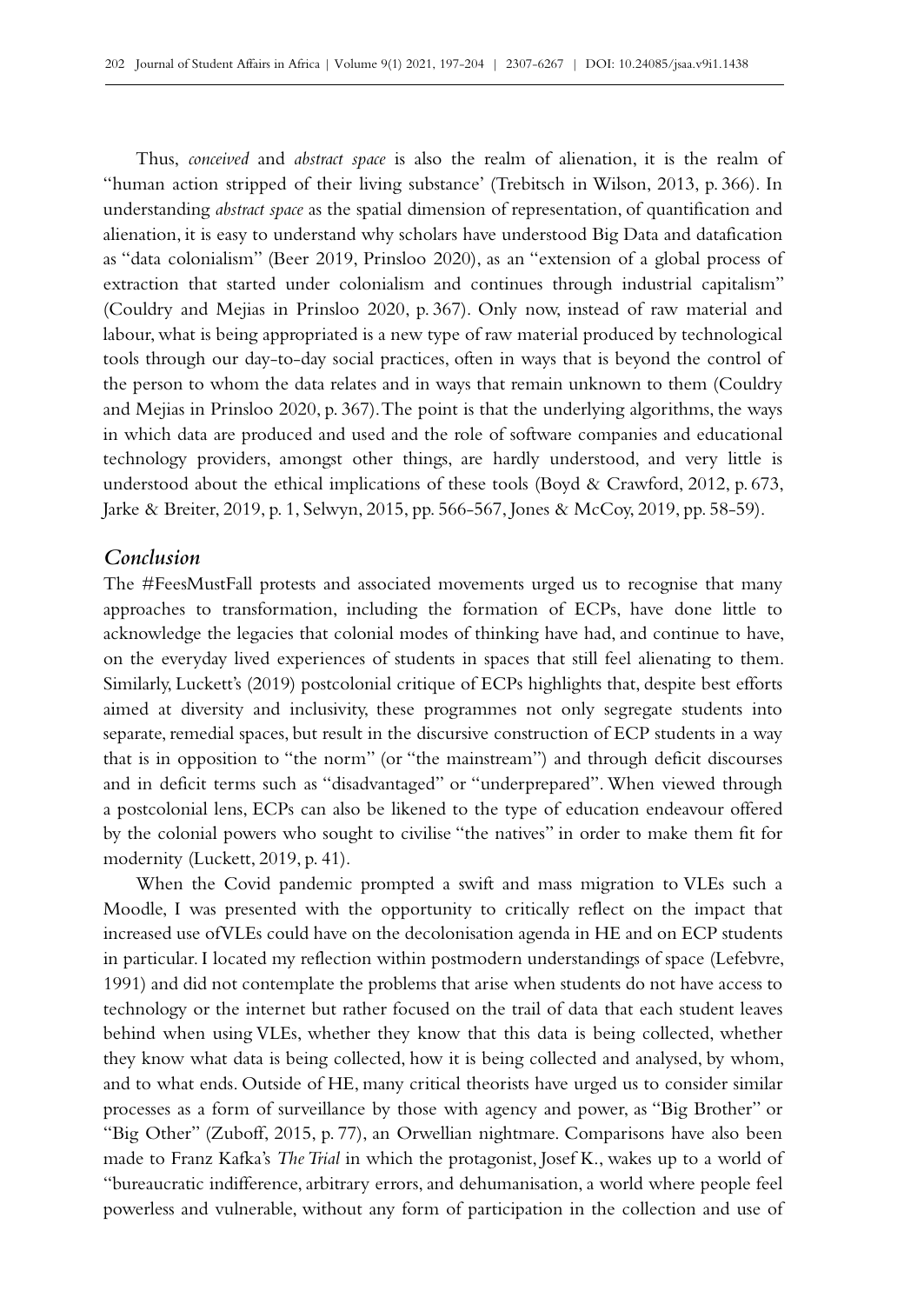Thus, *conceived* and *abstract space* is also the realm of alienation, it is the realm of "human action stripped of their living substance' (Trebitsch in Wilson, 2013, p. 366). In understanding *abstract space* as the spatial dimension of representation, of quantification and alienation, it is easy to understand why scholars have understood Big Data and datafication as "data colonialism" (Beer 2019, Prinsloo 2020), as an "extension of a global process of extraction that started under colonialism and continues through industrial capitalism" (Couldry and Mejias in Prinsloo 2020, p. 367). Only now, instead of raw material and labour, what is being appropriated is a new type of raw material produced by technological tools through our day-to-day social practices, often in ways that is beyond the control of the person to whom the data relates and in ways that remain unknown to them (Couldry and Mejias in Prinsloo 2020, p. 367). The point is that the underlying algorithms, the ways in which data are produced and used and the role of software companies and educational technology providers, amongst other things, are hardly understood, and very little is understood about the ethical implications of these tools (Boyd & Crawford, 2012, p. 673, Jarke & Breiter, 2019, p. 1, Selwyn, 2015, pp. 566-567, Jones & McCoy, 2019, pp. 58‑59).

### *Conclusion*

The #FeesMustFall protests and associated movements urged us to recognise that many approaches to transformation, including the formation of ECPs, have done little to acknowledge the legacies that colonial modes of thinking have had, and continue to have, on the everyday lived experiences of students in spaces that still feel alienating to them. Similarly, Luckett's (2019) postcolonial critique of ECPs highlights that, despite best efforts aimed at diversity and inclusivity, these programmes not only segregate students into separate, remedial spaces, but result in the discursive construction of ECP students in a way that is in opposition to "the norm" (or "the mainstream") and through deficit discourses and in deficit terms such as "disadvantaged" or "underprepared". When viewed through a postcolonial lens, ECPs can also be likened to the type of education endeavour offered by the colonial powers who sought to civilise "the natives" in order to make them fit for modernity (Luckett, 2019, p. 41).

When the Covid pandemic prompted a swift and mass migration to VLEs such a Moodle, I was presented with the opportunity to critically reflect on the impact that increased use of VLEs could have on the decolonisation agenda in HE and on ECP students in particular. I located my reflection within postmodern understandings of space (Lefebvre, 1991) and did not contemplate the problems that arise when students do not have access to technology or the internet but rather focused on the trail of data that each student leaves behind when using VLEs, whether they know that this data is being collected, whether they know what data is being collected, how it is being collected and analysed, by whom, and to what ends. Outside of HE, many critical theorists have urged us to consider similar processes as a form of surveillance by those with agency and power, as "Big Brother" or "Big Other" (Zuboff, 2015, p. 77), an Orwellian nightmare. Comparisons have also been made to Franz Kafka's *The Trial* in which the protagonist, Josef K., wakes up to a world of "bureaucratic indifference, arbitrary errors, and dehumanisation, a world where people feel powerless and vulnerable, without any form of participation in the collection and use of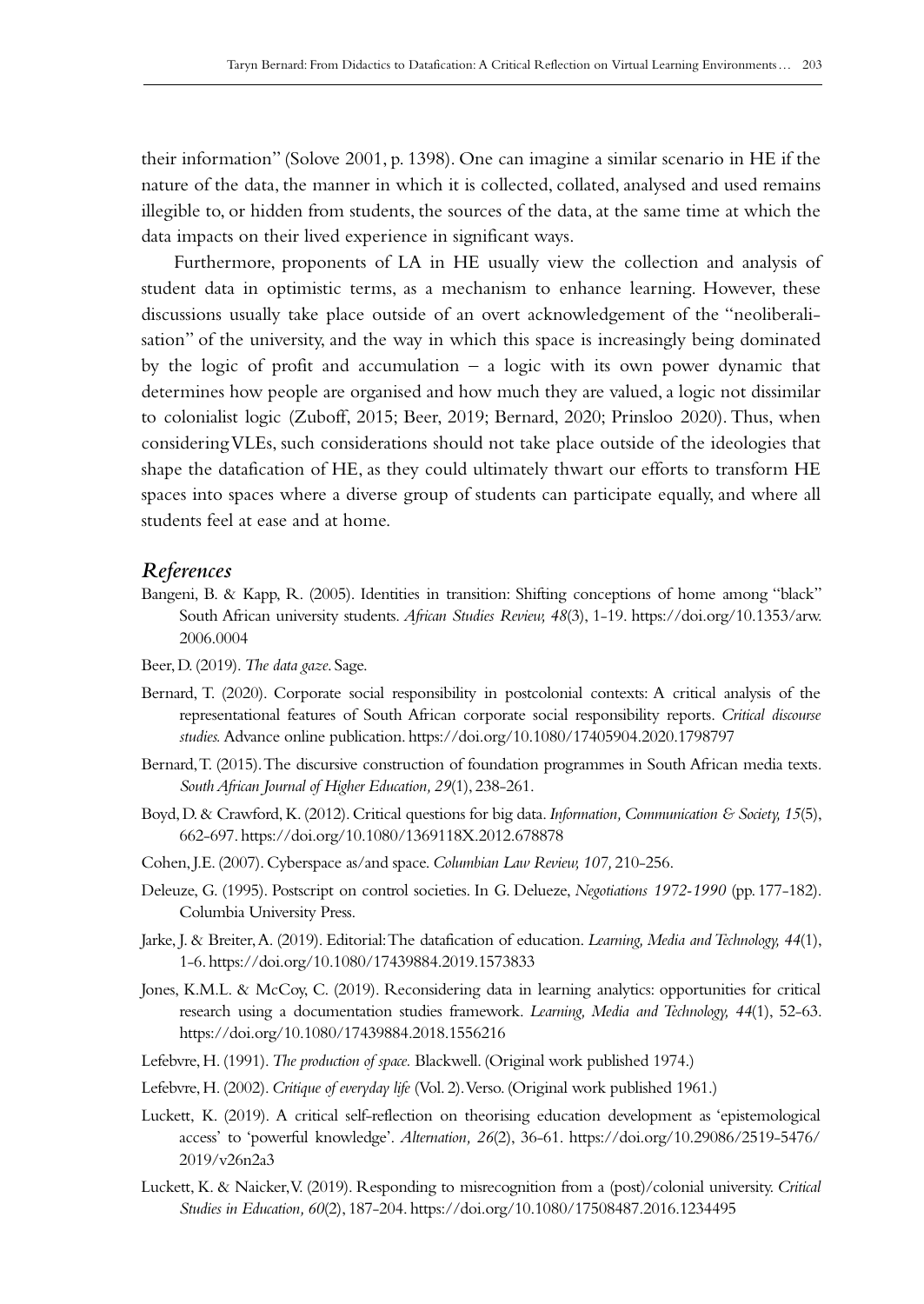their information" (Solove 2001, p. 1398). One can imagine a similar scenario in HE if the nature of the data, the manner in which it is collected, collated, analysed and used remains illegible to, or hidden from students, the sources of the data, at the same time at which the data impacts on their lived experience in significant ways.

Furthermore, proponents of LA in HE usually view the collection and analysis of student data in optimistic terms, as a mechanism to enhance learning. However, these discussions usually take place outside of an overt acknowledgement of the "neoliberali‑ sation" of the university, and the way in which this space is increasingly being dominated by the logic of profit and accumulation – a logic with its own power dynamic that determines how people are organised and how much they are valued, a logic not dissimilar to colonialist logic (Zuboff, 2015; Beer, 2019; Bernard, 2020; Prinsloo 2020). Thus, when considering VLEs, such considerations should not take place outside of the ideologies that shape the datafication of HE, as they could ultimately thwart our efforts to transform HE spaces into spaces where a diverse group of students can participate equally, and where all students feel at ease and at home.

#### *References*

- Bangeni, B. & Kapp, R. (2005). Identities in transition: Shifting conceptions of home among "black" South African university students. *African Studies Review, 48*(3), 1‑19. [https://doi.org/10.1353/arw.](https://doi.org/10.1353/arw.2006.0004) [2006.0004](https://doi.org/10.1353/arw.2006.0004)
- Beer, D. (2019). *The data gaze*. Sage.
- Bernard, T. (2020). Corporate social responsibility in postcolonial contexts: A critical analysis of the representational features of South African corporate social responsibility reports. *Critical discourse studies.* Advance online publication.<https://doi.org/10.1080/17405904.2020.1798797>
- Bernard, T. (2015). The discursive construction of foundation programmes in South African media texts*. South African Journal of Higher Education, 29*(1), 238‑261.
- Boyd, D. & Crawford, K. (2012). Critical questions for big data. *Information, Communication & Society, 15*(5), 662‑697. <https://doi.org/10.1080/1369118X.2012.678878>
- Cohen, J.E. (2007). Cyberspace as/and space. *Columbian Law Review, 107,* 210‑256.
- Deleuze, G. (1995). Postscript on control societies. In G. Delueze, *Negotiations 1972‑1990* (pp.177‑182). Columbia University Press.
- Jarke, J. & Breiter, A. (2019). Editorial: The datafication of education. *Learning, Media and Technology, 44*(1), 1‑6.<https://doi.org/10.1080/17439884.2019.1573833>
- Jones, K.M.L. & McCoy, C. (2019). Reconsidering data in learning analytics: opportunities for critical research using a documentation studies framework. *Learning, Media and Technology, 44*(1), 52‑63. <https://doi.org/10.1080/17439884.2018.1556216>
- Lefebvre, H. (1991). *The production of space.* Blackwell. (Original work published 1974.)
- Lefebvre, H. (2002). *Critique of everyday life* (Vol. 2). Verso. (Original work published 1961.)
- Luckett, K. (2019). A critical self-reflection on theorising education development as 'epistemological access' to 'powerful knowledge'. *Alternation, 26*(2), 36‑61. [https://doi.org/10.29086/2519-5476/](https://doi.org/10.29086/2519-5476/2019/v26n2a3) [2019/v26n2a3](https://doi.org/10.29086/2519-5476/2019/v26n2a3)
- Luckett, K. & Naicker, V. (2019). Responding to misrecognition from a (post)/colonial university. *Critical Studies in Education, 60*(2), 187‑204.<https://doi.org/10.1080/17508487.2016.1234495>